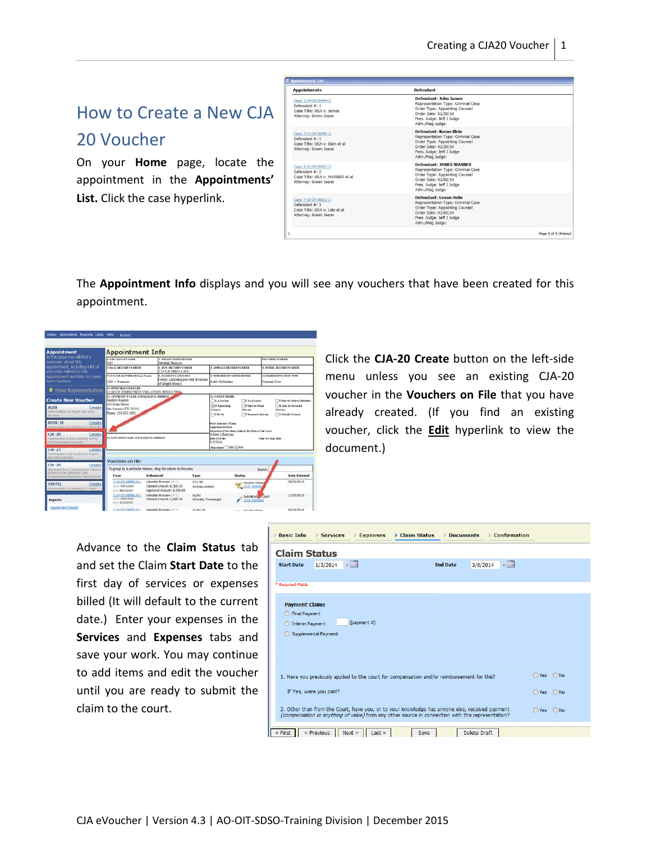## How to Create a New CJA 20 Voucher

On your **Home** page, locate the appointment in the **Appointments' List.** Click the case hyperlink.

| <b>Appointments</b>                                                                                       | <b>Defendant</b>                                                                                                                                                               |                       |
|-----------------------------------------------------------------------------------------------------------|--------------------------------------------------------------------------------------------------------------------------------------------------------------------------------|-----------------------|
| Case: 1:14-CR-00444-JJ<br>Defendant #: 1<br>Case Title: USA v. James<br>Attorney: Green Jeans             | Defendant: John James<br>Representation Type: Criminal Case<br>Order Type: Appointing Counsel<br>Order Date: 01/30/14<br>Pres. Judge: Jeff J Judge<br>Adm./Mag Judge:          |                       |
| Case: 7:11-CR-00099-JJ<br>Defendant #: 1<br>Case Title: USA v. Klein et al.<br>Attorney: Green Jeans      | Defendant: Karan Klein<br>Representation Type: Criminal Case<br>Order Type: Appointing Counsel<br>Order Date: 01/30/14<br>Pres. Judge: Jeff J Judge<br>Adm./Mag Judge:         |                       |
| Case: 2:10-CR-00002-JJ<br>Defendant #: 2<br>Case Title: USA v. WARNER et al.<br>Attorney: Green Jeans     | <b>Defendant: JAMES WARNER</b><br>Representation Type: Criminal Case<br>Order Type: Appointing Counsel<br>Order Date: 01/02/14<br>Pres. Judge: Jeff J Judge<br>Adm./Mag Judge: |                       |
| Case: 7:10-CR-00002-33<br>Defendant $\neq$ : 3<br>Case Title: USA v. Lola et al.<br>Attorney: Green Jeans | Defendant: Levon Helm<br>Representation Type: Criminal Case<br>Order Type: Appointing Counsel<br>Order Date: 01/02/14<br>Pres. Judge: Jeff J Judge<br>Adm./Mag Judge:          |                       |
|                                                                                                           |                                                                                                                                                                                | Page 1 of 1 (4 items) |

The **Appointment Info** displays and you will see any vouchers that have been created for this appointment.



Click the **CJA-20 Create** button on the left-side menu unless you see an existing CJA-20 voucher in the **Vouchers on File** that you have already created. (If you find an existing voucher, click the **Edit** hyperlink to view the document.)

Advance to the **Claim Status** tab and set the Claim **Start Date** to the first day of services or expenses billed (It will default to the current date.) Enter your expenses in the **Services** and **Expenses** tabs and save your work. You may continue to add items and edit the voucher until you are ready to submit the claim to the court.

| <b>Start Date</b>                 | 1/3/2014             |            |                                                                                             |                 |                                    |            |
|-----------------------------------|----------------------|------------|---------------------------------------------------------------------------------------------|-----------------|------------------------------------|------------|
|                                   |                      | $\cdot$    |                                                                                             | <b>End Date</b> | $\cdot$ $\overline{u}$<br>3/6/2014 |            |
|                                   |                      |            |                                                                                             |                 |                                    |            |
| * Required Fields                 |                      |            |                                                                                             |                 |                                    |            |
| <b>Payment Claims</b>             |                      |            |                                                                                             |                 |                                    |            |
| <b>Final Payment</b>              |                      |            |                                                                                             |                 |                                    |            |
| $\odot$<br><b>Interim Payment</b> |                      | (payment#) |                                                                                             |                 |                                    |            |
|                                   |                      |            |                                                                                             |                 |                                    |            |
| $\circ$                           | Supplemental Payment |            |                                                                                             |                 |                                    |            |
|                                   |                      |            |                                                                                             |                 |                                    |            |
|                                   |                      |            |                                                                                             |                 |                                    |            |
|                                   |                      |            |                                                                                             |                 |                                    |            |
|                                   |                      |            |                                                                                             |                 |                                    |            |
|                                   |                      |            | 1. Have you previously applied to the court for compensation and/or reimbursement for this? |                 |                                    | O Yes O No |
|                                   |                      |            |                                                                                             |                 |                                    |            |
| If Yes, were you paid?            |                      |            |                                                                                             |                 |                                    | O Yes O No |
|                                   |                      |            |                                                                                             |                 |                                    |            |